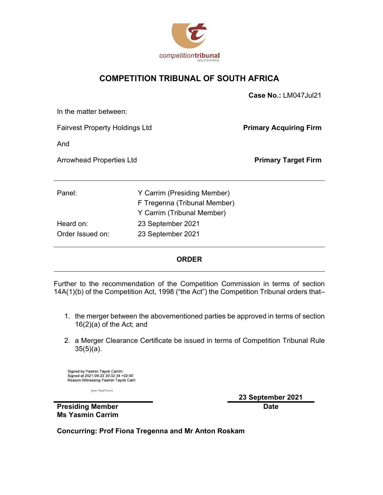

## COMPETITION TRIBUNAL OF SOUTH AFRICA

|                                                                                                                 | <b>SUUTHERIUM</b>                                                                                                                                                           |                               |
|-----------------------------------------------------------------------------------------------------------------|-----------------------------------------------------------------------------------------------------------------------------------------------------------------------------|-------------------------------|
|                                                                                                                 | <b>COMPETITION TRIBUNAL OF SOUTH AFRICA</b>                                                                                                                                 |                               |
|                                                                                                                 |                                                                                                                                                                             | Case No.: LM047Jul21          |
| In the matter between:                                                                                          |                                                                                                                                                                             |                               |
| <b>Fairvest Property Holdings Ltd</b>                                                                           |                                                                                                                                                                             | <b>Primary Acquiring Firm</b> |
| And                                                                                                             |                                                                                                                                                                             |                               |
| <b>Arrowhead Properties Ltd</b>                                                                                 |                                                                                                                                                                             | <b>Primary Target Firm</b>    |
| Panel:                                                                                                          | Y Carrim (Presiding Member)<br>F Tregenna (Tribunal Member)<br>Y Carrim (Tribunal Member)                                                                                   |                               |
| Heard on:                                                                                                       | 23 September 2021                                                                                                                                                           |                               |
| Order Issued on:                                                                                                | 23 September 2021                                                                                                                                                           |                               |
|                                                                                                                 | <b>ORDER</b>                                                                                                                                                                |                               |
|                                                                                                                 | Further to the recommendation of the Competition Commission in terms of section<br>14A(1)(b) of the Competition Act, 1998 ("the Act") the Competition Tribunal orders that– |                               |
| $16(2)(a)$ of the Act; and                                                                                      | 1. the merger between the abovementioned parties be approved in terms of section                                                                                            |                               |
| $35(5)(a)$ .                                                                                                    | 2. a Merger Clearance Certificate be issued in terms of Competition Tribunal Rule                                                                                           |                               |
| Signed by: Yasmin Tayob Carrim<br>Signed at:2021-09-22 20:32:34 +02:00<br>Reason: Witnessing Yasmin Tavob Carri |                                                                                                                                                                             |                               |

#### ORDER

- 16(2)(a) of the Act; and
- 35(5)(a).

y<br>asain Tayob Carria

23 September 2021 Date

Presiding Member Ms Yasmin Carrim

Concurring: Prof Fiona Tregenna and Mr Anton Roskam